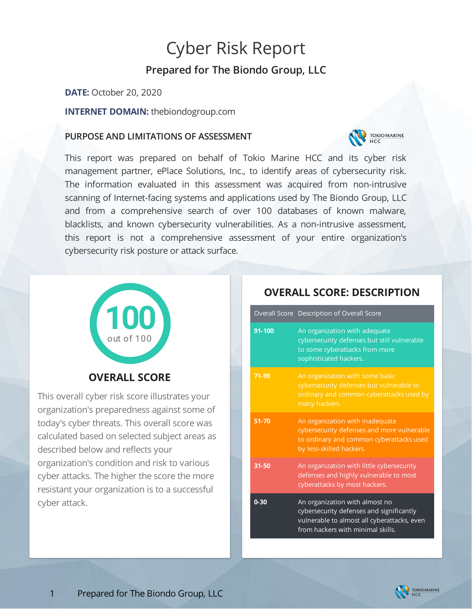# Cyber Risk Report

# **Prepared for The Biondo Group, LLC**

**DATE:** October 20, 2020

**INTERNET DOMAIN:** thebiondogroup.com

### **PURPOSE AND LIMITATIONS OF ASSESSMENT**



This report was prepared on behalf of Tokio Marine HCC and its cyber risk management partner, ePlace Solutions, Inc., to identify areas of cybersecurity risk. The information evaluated in this assessment was acquired from non-intrusive scanning of Internet-facing systems and applications used by The Biondo Group, LLC and from a comprehensive search of over 100 databases of known malware, blacklists, and known cybersecurity vulnerabilities. As a non-intrusive assessment, this report is not a comprehensive assessment of your entire organization's cybersecurity risk posture or attack surface.



# **OVERALL SCORE**

This overall cyber risk score illustrates your organization's preparedness against some of today's cyber threats. This overall score was calculated based on selected subject areas as described below and reflects your organization's condition and risk to various cyber attacks. The higher the score the more resistant your organization is to a successful cyber attack.

|          | Overall Score Description of Overall Score                                                                                                                     |
|----------|----------------------------------------------------------------------------------------------------------------------------------------------------------------|
| 91-100   | An organization with adequate<br>cybersecurity defenses but still vulnerable<br>to some cyberattacks from more<br>sophisticated hackers.                       |
| 71-90    | An organization with some basic<br>cybersecurity defenses but vulnerable to<br>ordinary and common cyberattacks used by<br>many hackers.                       |
| 51-70    | An organization with inadequate<br>cybersecurity defenses and more vulnerable<br>to ordinary and common cyberattacks used<br>by less-skilled hackers.          |
| 31-50    | An organization with little cybersecurity<br>defenses and highly vulnerable to most<br>cyberattacks by most hackers.                                           |
| $0 - 30$ | An organization with almost no<br>cybersecurity defenses and significantly<br>vulnerable to almost all cyberattacks, even<br>from hackers with minimal skills. |

## **OVERALL SCORE: DESCRIPTION**